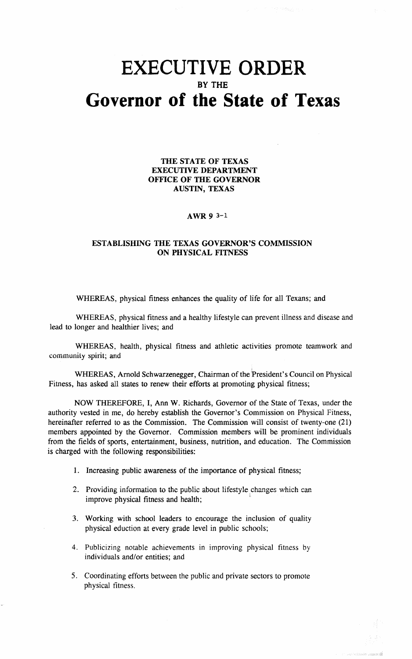## **EXECUTIVE ORDER** BY THE **Governor of the State of Texas**

THE STATE OF TEXAS EXECUTIVE DEPARTMENT OFFICE OF THE GOVERNOR AUSTIN, TEXAS

## AWR 9 3-1

## ESTABLISHING THE TEXAS GOVERNOR'S COMMISSION ON PHYSICAL FITNESS

WHEREAS, physical fitness enhances the quality of life for all Texans; and

WHEREAS, physical fitness and a healthy lifestyle can prevent illness and disease and lead to longer and healthier lives; and

WHEREAS, health, physical fitness and athletic activities promote teamwork and community spirit; and

WHEREAS, Arnold Schwarzenegger, Chairman of the 'President's Council on Physical Fitness, has asked all states to renew their efforts at promoting physical fitness;

NOW THEREFORE, I, Ann W. Richards, Governor of the State of Texas, under the authority vested in me, do hereby establish the Governor's Commission on Physical Fitness, hereinafter referred to as the Commission. The Commission will consist of twenty-one (21) members appointed by the Governor. Commission members will be prominent individuals from the fields of sports, entertainment, business, nutrition, and education. The Commission is charged with the following responsibilities:

- 1. Increasing public awareness of the importance of physical fitness;
- 2. Providing information to the public about lifestyle changes which can improve physical fitness and health;
- 3. Working with school leaders to encourage the inclusion of quality physical eduction at every grade level in public schools;
- 4. Publicizing notable achievements in improving physical fitness by individuals and/or entities; and
- 5. Coordinating efforts between the public and private sectors to promote physical fitness.